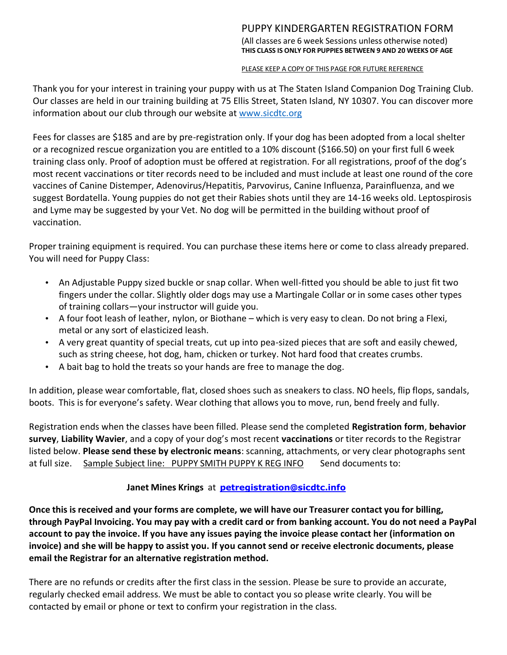# PUPPY KINDERGARTEN REGISTRATION FORM

(All classes are 6 week Sessions unless otherwise noted) **THIS CLASS IS ONLY FOR PUPPIES BETWEEN 9 AND 20 WEEKS OF AGE**

#### PLEASE KEEP A COPY OF THIS PAGE FOR FUTURE REFERENCE

Thank you for your interest in training your puppy with us at The Staten Island Companion Dog Training Club. Our classes are held in our training building at 75 Ellis Street, Staten Island, NY 10307. You can discover more information about our club through our website at [www.sicdtc.org](http://www.sicdtc.org/)

Fees for classes are \$185 and are by pre-registration only. If your dog has been adopted from a local shelter or a recognized rescue organization you are entitled to a 10% discount (\$166.50) on your first full 6 week training class only. Proof of adoption must be offered at registration. For all registrations, proof of the dog's most recent vaccinations or titer records need to be included and must include at least one round of the core vaccines of Canine Distemper, Adenovirus/Hepatitis, Parvovirus, Canine Influenza, Parainfluenza, and we suggest Bordatella. Young puppies do not get their Rabies shots until they are 14-16 weeks old. Leptospirosis and Lyme may be suggested by your Vet. No dog will be permitted in the building without proof of vaccination.

Proper training equipment is required. You can purchase these items here or come to class already prepared. You will need for Puppy Class:

- An Adjustable Puppy sized buckle or snap collar. When well-fitted you should be able to just fit two fingers under the collar. Slightly older dogs may use a Martingale Collar or in some cases other types of training collars—your instructor will guide you.
- A four foot leash of leather, nylon, or Biothane which is very easy to clean. Do not bring a Flexi, metal or any sort of elasticized leash.
- A very great quantity of special treats, cut up into pea-sized pieces that are soft and easily chewed, such as string cheese, hot dog, ham, chicken or turkey. Not hard food that creates crumbs.
- A bait bag to hold the treats so your hands are free to manage the dog.

In addition, please wear comfortable, flat, closed shoes such as sneakers to class. NO heels, flip flops, sandals, boots. This is for everyone's safety. Wear clothing that allows you to move, run, bend freely and fully.

Registration ends when the classes have been filled. Please send the completed **Registration form**, **behavior survey**, **Liability Wavier**, and a copy of your dog's most recent **vaccinations** or titer records to the Registrar listed below. **Please send these by electronic means**: scanning, attachments, or very clear photographs sent at full size. Sample Subject line: PUPPY SMITH PUPPY K REG INFO Send documents to:

## **Janet Mines Krings** at **[petregistration@sicdtc.info](mailto:petregistration@sicdtc.info)**

Once this is received and your forms are complete, we will have our Treasurer contact you for billing, **through PayPal Invoicing. You may pay with a credit card or from banking account. You do not need a PayPal account to pay the invoice. If you have any issues paying the invoice please contact her (information on invoice) and she will be happy to assist you. If you cannot send or receive electronic documents, please email the Registrar for an alternative registration method.**

There are no refunds or credits after the first class in the session. Please be sure to provide an accurate, regularly checked email address. We must be able to contact you so please write clearly. You will be contacted by email or phone or text to confirm your registration in the class.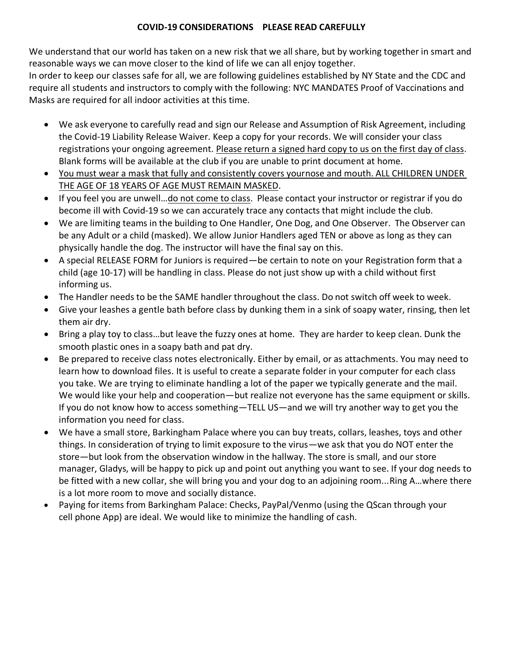### **COVID-19 CONSIDERATIONS PLEASE READ CAREFULLY**

We understand that our world has taken on a new risk that we all share, but by working together in smart and reasonable ways we can move closer to the kind of life we can all enjoy together.

In order to keep our classes safe for all, we are following guidelines established by NY State and the CDC and require all students and instructors to comply with the following: NYC MANDATES Proof of Vaccinations and Masks are required for all indoor activities at this time.

- We ask everyone to carefully read and sign our Release and Assumption of Risk Agreement, including the Covid-19 Liability Release Waiver. Keep a copy for your records. We will consider your class registrations your ongoing agreement. Please return a signed hard copy to us on the first day of class. Blank forms will be available at the club if you are unable to print document at home.
- You must wear a mask that fully and consistently covers yournose and mouth. ALL CHILDREN UNDER THE AGE OF 18 YEARS OF AGE MUST REMAIN MASKED.
- If you feel you are unwell…do not come to class. Please contact your instructor or registrar if you do become ill with Covid-19 so we can accurately trace any contacts that might include the club.
- We are limiting teams in the building to One Handler, One Dog, and One Observer. The Observer can be any Adult or a child (masked). We allow Junior Handlers aged TEN or above as long as they can physically handle the dog. The instructor will have the final say on this.
- A special RELEASE FORM for Juniors is required—be certain to note on your Registration form that a child (age 10-17) will be handling in class. Please do not just show up with a child without first informing us.
- The Handler needs to be the SAME handler throughout the class. Do not switch off week to week.
- Give your leashes a gentle bath before class by dunking them in a sink of soapy water, rinsing, then let them air dry.
- Bring a play toy to class…but leave the fuzzy ones at home. They are harder to keep clean. Dunk the smooth plastic ones in a soapy bath and pat dry.
- Be prepared to receive class notes electronically. Either by email, or as attachments. You may need to learn how to download files. It is useful to create a separate folder in your computer for each class you take. We are trying to eliminate handling a lot of the paper we typically generate and the mail. We would like your help and cooperation—but realize not everyone has the same equipment or skills. If you do not know how to access something—TELL US—and we will try another way to get you the information you need for class.
- We have a small store, Barkingham Palace where you can buy treats, collars, leashes, toys and other things. In consideration of trying to limit exposure to the virus—we ask that you do NOT enter the store—but look from the observation window in the hallway. The store is small, and our store manager, Gladys, will be happy to pick up and point out anything you want to see. If your dog needs to be fitted with a new collar, she will bring you and your dog to an adjoining room...Ring A…where there is a lot more room to move and socially distance.
- Paying for items from Barkingham Palace: Checks, PayPal/Venmo (using the QScan through your cell phone App) are ideal. We would like to minimize the handling of cash.